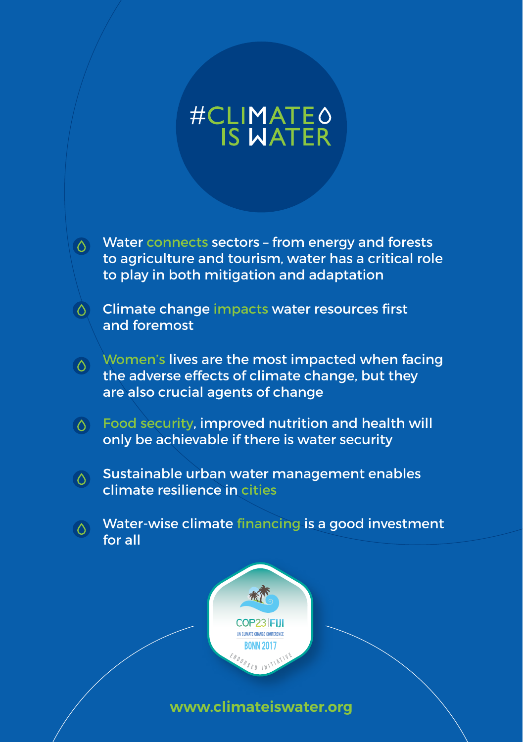# #CLIMATEO

- $\delta$  Water connects sectors from energy and forests to agriculture and tourism, water has a critical role to play in both mitigation and adaptation
- Climate change impacts water resources first  $\circ$ and foremost
- $\delta$  Women's lives are the most impacted when facing the adverse effects of climate change, but they are also crucial agents of change
- $\Diamond$  Food security, improved nutrition and health will only be achievable if there is water security
- $\delta$  Sustainable urban water management enables climate resilience in cities
- $\sigma$  Water-wise climate financing is a good investment for all



**www.climateiswater.org**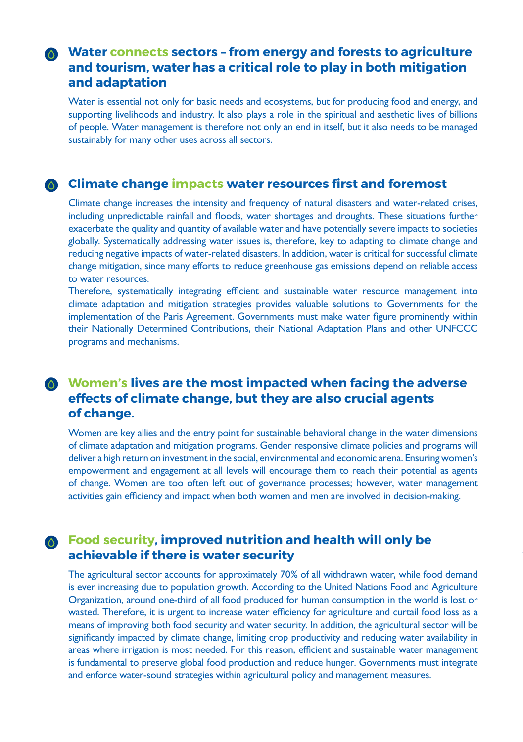# **Water connects sectors – from energy and forests to agriculture and tourism, water has a critical role to play in both mitigation and adaptation**

Water is essential not only for basic needs and ecosystems, but for producing food and energy, and supporting livelihoods and industry. It also plays a role in the spiritual and aesthetic lives of billions of people. Water management is therefore not only an end in itself, but it also needs to be managed sustainably for many other uses across all sectors.

#### **Climate change impacts water resources first and foremost**

Climate change increases the intensity and frequency of natural disasters and water-related crises, including unpredictable rainfall and floods, water shortages and droughts. These situations further exacerbate the quality and quantity of available water and have potentially severe impacts to societies globally. Systematically addressing water issues is, therefore, key to adapting to climate change and reducing negative impacts of water-related disasters. In addition, water is critical for successful climate change mitigation, since many efforts to reduce greenhouse gas emissions depend on reliable access to water resources.

Therefore, systematically integrating efficient and sustainable water resource management into climate adaptation and mitigation strategies provides valuable solutions to Governments for the implementation of the Paris Agreement. Governments must make water figure prominently within their Nationally Determined Contributions, their National Adaptation Plans and other UNFCCC programs and mechanisms.

## **Women's lives are the most impacted when facing the adverse effects of climate change, but they are also crucial agents of change.**

Women are key allies and the entry point for sustainable behavioral change in the water dimensions of climate adaptation and mitigation programs. Gender responsive climate policies and programs will deliver a high return on investment in the social, environmental and economic arena. Ensuring women's empowerment and engagement at all levels will encourage them to reach their potential as agents of change. Women are too often left out of governance processes; however, water management activities gain efficiency and impact when both women and men are involved in decision-making.

# **Food security, improved nutrition and health will only be achievable if there is water security**

The agricultural sector accounts for approximately 70% of all withdrawn water, while food demand is ever increasing due to population growth. According to the United Nations Food and Agriculture Organization, around one-third of all food produced for human consumption in the world is lost or wasted. Therefore, it is urgent to increase water efficiency for agriculture and curtail food loss as a means of improving both food security and water security. In addition, the agricultural sector will be significantly impacted by climate change, limiting crop productivity and reducing water availability in areas where irrigation is most needed. For this reason, efficient and sustainable water management is fundamental to preserve global food production and reduce hunger. Governments must integrate and enforce water-sound strategies within agricultural policy and management measures.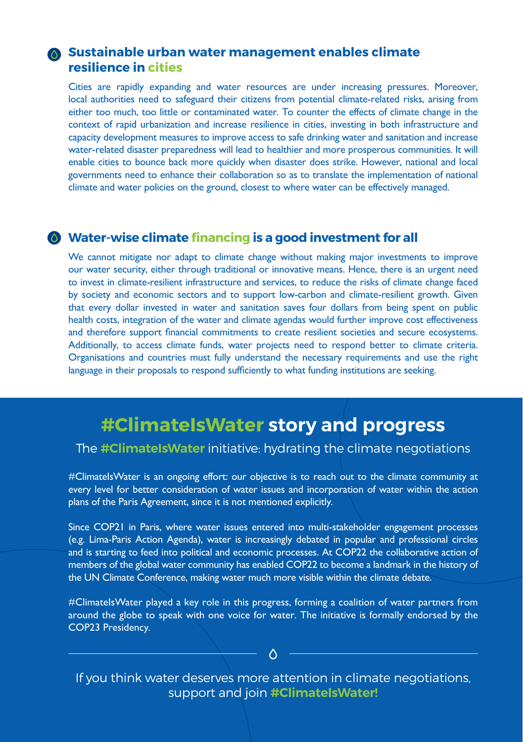#### **Sustainable urban water management enables climate resilience in cities**

Cities are rapidly expanding and water resources are under increasing pressures. Moreover, local authorities need to safeguard their citizens from potential climate-related risks, arising from either too much, too little or contaminated water. To counter the effects of climate change in the context of rapid urbanization and increase resilience in cities, investing in both infrastructure and capacity development measures to improve access to safe drinking water and sanitation and increase water-related disaster preparedness will lead to healthier and more prosperous communities. It will enable cities to bounce back more quickly when disaster does strike. However, national and local governments need to enhance their collaboration so as to translate the implementation of national climate and water policies on the ground, closest to where water can be effectively managed.

#### **Water-wise climate financing is a good investment for all**

We cannot mitigate nor adapt to climate change without making major investments to improve our water security, either through traditional or innovative means. Hence, there is an urgent need to invest in climate-resilient infrastructure and services, to reduce the risks of climate change faced by society and economic sectors and to support low-carbon and climate-resilient growth. Given that every dollar invested in water and sanitation saves four dollars from being spent on public health costs, integration of the water and climate agendas would further improve cost effectiveness and therefore support financial commitments to create resilient societies and secure ecosystems. Additionally, to access climate funds, water projects need to respond better to climate criteria. Organisations and countries must fully understand the necessary requirements and use the right language in their proposals to respond sufficiently to what funding institutions are seeking.

# **#ClimateIsWater story and progress**

#### The **#ClimateIsWater** initiative: hydrating the climate negotiations

#ClimatelsWater is an ongoing effort: our objective is to reach out to the climate community at every level for better consideration of water issues and incorporation of water within the action plans of the Paris Agreement, since it is not mentioned explicitly.

Since COP21 in Paris, where water issues entered into multi-stakeholder engagement processes (e.g. Lima-Paris Action Agenda), water is increasingly debated in popular and professional circles and is starting to feed into political and economic processes. At COP22 the collaborative action of members of the global water community has enabled COP22 to become a landmark in the history of the UN Climate Conference, making water much more visible within the climate debate.

#ClimateIsWater played a key role in this progress, forming a coalition of water partners from around the globe to speak with one voice for water. The initiative is formally endorsed by the COP23 Presidency.

If you think water deserves more attention in climate negotiations, support and join **#ClimateIsWater!**